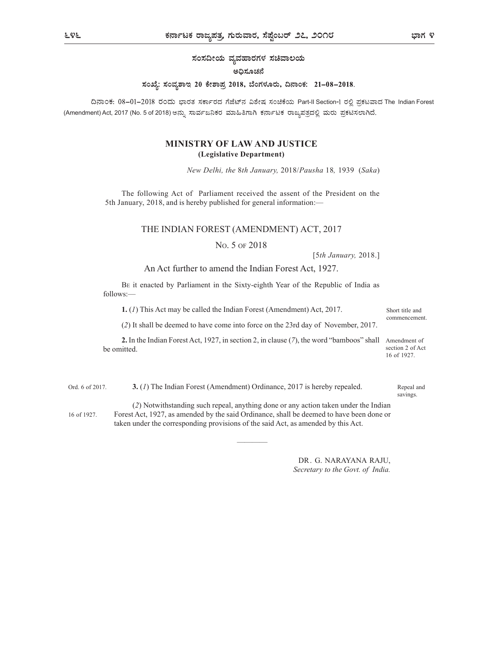ಸಂಸದೀಯ ವ್ಯವಹಾರಗಳ ಸಚಿವಾಲಯ

#### ಅಧಿಸೂಚನೆ

#### ಸಂಖ್ಯೆ: ಸಂವ್ಯಶಾಇ 20 ಕೇಶಾಪ್ರ 2018, ಬೆಂಗಳೂರು, ದಿನಾಂಕ: 21–08–2018.

ದಿನಾಂಕ: 08-01-2018 ರಂದು ಭಾರತ ಸರ್ಕಾರದ ಗೆಜೆಟ್ನ ವಿಶೇಷ ಸಂಚಿಕೆಯ Part-II Section-I ರಲ್ಲಿ ಪ್ರಕಟವಾದ The Indian Forest (Amendment) Act, 2017 (No. 5 of 2018)

# MINISTRY OF LAW AND JUSTICE (Legislative Department)

New Delhi, the 8th January, 2018/Pausha 18, 1939 (Saka)

The following Act of Parliament received the assent of the President on the 5th January, 2018, and is hereby published for general information:—

# THE INDIAN FOREST (AMENDMENT) ACT, 2017

### NO. 5 OF 2018

[5th January, 2018.]

### An Act further to amend the Indian Forest Act, 1927.

BE it enacted by Parliament in the Sixty-eighth Year of the Republic of India as follows:—

1. (1) This Act may be called the Indian Forest (Amendment) Act, 2017. Short title and

(2) It shall be deemed to have come into force on the 23rd day of November, 2017.

2. In the Indian Forest Act, 1927, in section 2, in clause (7), the word "bamboos" shall Amendment of be omitted. 16 of 1927.

Ord. 6 of 2017. **3.** (1) The Indian Forest (Amendment) Ordinance, 2017 is hereby repealed. Repeal and (2) Notwithstanding such repeal, anything done or any action taken under the Indian Forest Act, 1927, as amended by the said Ordinance, shall be deemed to have been done or 16 of 1927.

taken under the corresponding provisions of the said Act, as amended by this Act.

DR. G. NARAYANA RAJU, Secretary to the Govt. of India.

and the second control of the second control of the second control of the second control of the second control

commencement.

section 2 of Act

Repeal and savings.